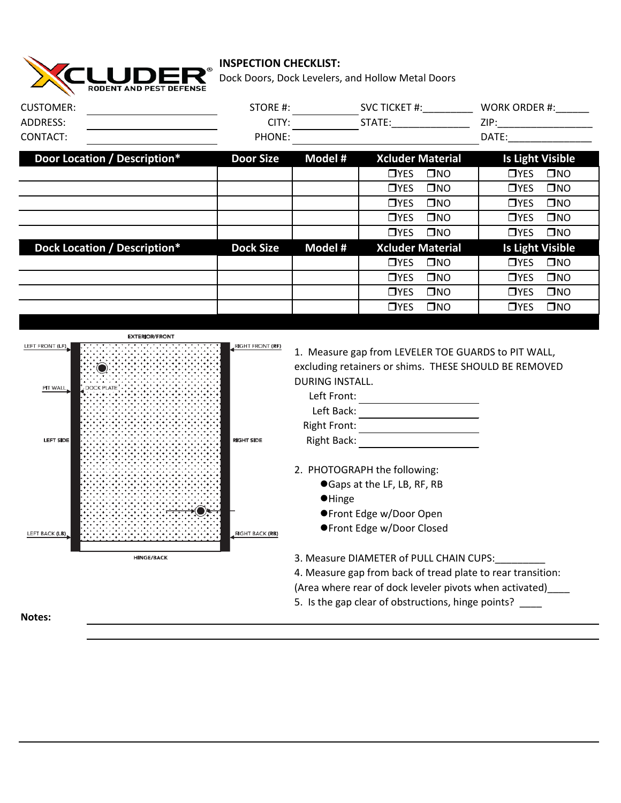

## **INSPECTION CHECKLIST:**

Dock Doors, Dock Levelers, and Hollow Metal Doors

| <b>CUSTOMER:</b>                                                                                         | STORE #:                                                        |                                                                                                                                                                                                                                        |                                                                                      | SVC TICKET #: WORK ORDER #: |                         |              |
|----------------------------------------------------------------------------------------------------------|-----------------------------------------------------------------|----------------------------------------------------------------------------------------------------------------------------------------------------------------------------------------------------------------------------------------|--------------------------------------------------------------------------------------|-----------------------------|-------------------------|--------------|
| ADDRESS:                                                                                                 | CITY:                                                           | STATE:_________________                                                                                                                                                                                                                |                                                                                      |                             |                         |              |
| CONTACT:                                                                                                 | PHONE:                                                          |                                                                                                                                                                                                                                        |                                                                                      |                             | DATE: <b>DATE:</b>      |              |
| Door Location / Description*                                                                             | <b>Door Size</b>                                                | Model #                                                                                                                                                                                                                                | <b>Xcluder Material</b>                                                              |                             | <b>Is Light Visible</b> |              |
|                                                                                                          |                                                                 |                                                                                                                                                                                                                                        | T <sub>YES</sub>                                                                     | $\square$ NO                | T <sub>YES</sub>        | $\square$ NO |
|                                                                                                          |                                                                 |                                                                                                                                                                                                                                        | T <sub>YES</sub>                                                                     | $\square$ NO                | T <sub>YES</sub>        | $\square$ NO |
|                                                                                                          |                                                                 |                                                                                                                                                                                                                                        | T <sub>YES</sub>                                                                     | $\square$ NO                | $\n  TVES\n$            | $\square$ NO |
|                                                                                                          |                                                                 |                                                                                                                                                                                                                                        | T <sub>YES</sub>                                                                     | $\square$ NO                | T <sub>YES</sub>        | $\square$ NO |
|                                                                                                          |                                                                 |                                                                                                                                                                                                                                        | T <sub>YES</sub>                                                                     | $\square$ NO                | $\n  T Y ES\n$          | $\square$ NO |
| Dock Location / Description*                                                                             | <b>Dock Size</b>                                                | Model #                                                                                                                                                                                                                                | <b>Xcluder Material</b>                                                              |                             | <b>Is Light Visible</b> |              |
|                                                                                                          |                                                                 |                                                                                                                                                                                                                                        | $\n  TVES\n$                                                                         | $\square$ NO                | $\n  TVES\n$            | $\square$ NO |
|                                                                                                          |                                                                 |                                                                                                                                                                                                                                        | T <sub>YES</sub>                                                                     | $\square$ NO                | T <sub>YES</sub>        | $\square$ NO |
|                                                                                                          |                                                                 |                                                                                                                                                                                                                                        | <b>O</b> YES                                                                         | $\square$ NO                | <b>O</b> YES            | $\square$ NO |
|                                                                                                          |                                                                 |                                                                                                                                                                                                                                        | T <sub>YES</sub>                                                                     | $\square$ NO                | T <sub>YES</sub>        | $\square$ NO |
| <b>EXTERIOR/FRONT</b><br>LEFT FRONT (LF)<br>PIT WALL<br><b>DOCK PLATE</b><br>LEFT SIDE<br>LEFT BACK (LB) | RIGHT FRONT (RF)<br><b>RIGHT SIDE</b><br><b>RIGHT BACK (RB)</b> | 1. Measure gap from LEVELER TOE GUARDS to PIT WALL,<br>excluding retainers or shims. THESE SHOULD BE REMOVED<br>DURING INSTALL.<br>Left Front:<br><b>Right Front:</b><br>Right Back:<br>2. PHOTOGRAPH the following:<br><b>•</b> Hinge | ● Gaps at the LF, LB, RF, RB<br>●Front Edge w/Door Open<br>●Front Edge w/Door Closed |                             |                         |              |
| <b>HINGE/BACK</b>                                                                                        |                                                                 | 3. Measure DIAMETER of PULL CHAIN CUPS:<br>4. Measure gap from back of tread plate to rear transition:<br>(Area where rear of dock leveler pivots when activated)<br>5. Is the gap clear of obstructions, hinge points?                |                                                                                      |                             |                         |              |
| Notes:                                                                                                   |                                                                 |                                                                                                                                                                                                                                        |                                                                                      |                             |                         |              |